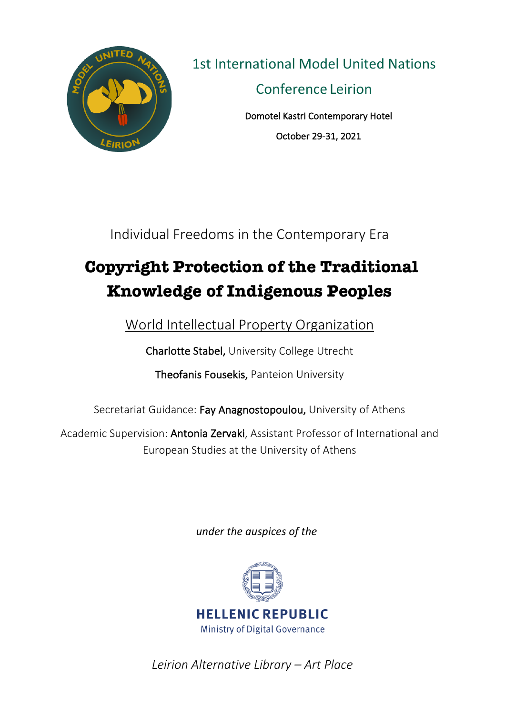

1st International Model United Nations

Conference Leirion

Domotel Kastri Contemporary Hotel October 29-31, 2021

Individual Freedoms in the Contemporary Era

# **Copyright Protection of the Traditional Knowledge of Indigenous Peoples**

World Intellectual Property Organization

Charlotte Stabel, University College Utrecht

Theofanis Fousekis, Panteion University

Secretariat Guidance: Fay Anagnostopoulou, University of Athens

Academic Supervision: Antonia Zervaki, Assistant Professor of International and European Studies at the University of Athens

*under the auspices of the* 



*Leirion Alternative Library – Art Place*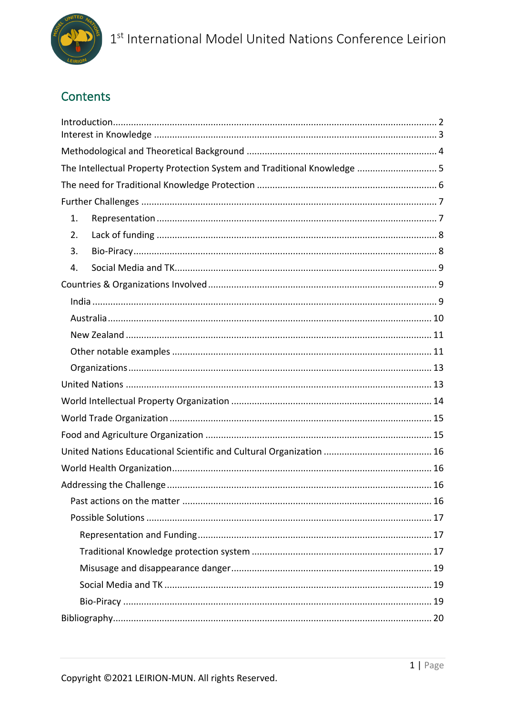

## **Contents**

|    | The Intellectual Property Protection System and Traditional Knowledge  5 |  |
|----|--------------------------------------------------------------------------|--|
|    |                                                                          |  |
|    |                                                                          |  |
| 1. |                                                                          |  |
| 2. |                                                                          |  |
| 3. |                                                                          |  |
| 4. |                                                                          |  |
|    |                                                                          |  |
|    |                                                                          |  |
|    |                                                                          |  |
|    |                                                                          |  |
|    |                                                                          |  |
|    |                                                                          |  |
|    |                                                                          |  |
|    |                                                                          |  |
|    |                                                                          |  |
|    |                                                                          |  |
|    |                                                                          |  |
|    |                                                                          |  |
|    |                                                                          |  |
|    |                                                                          |  |
|    |                                                                          |  |
|    |                                                                          |  |
|    |                                                                          |  |
|    |                                                                          |  |
|    |                                                                          |  |
|    |                                                                          |  |
|    |                                                                          |  |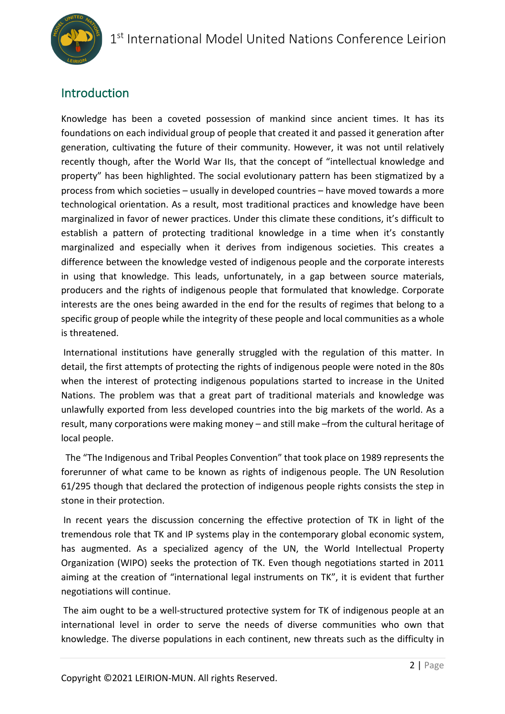

## Introduction

Knowledge has been a coveted possession of mankind since ancient times. It has its foundations on each individual group of people that created it and passed it generation after generation, cultivating the future of their community. However, it was not until relatively recently though, after the World War IIs, that the concept of "intellectual knowledge and property" has been highlighted. The social evolutionary pattern has been stigmatized by a process from which societies – usually in developed countries – have moved towards a more technological orientation. As a result, most traditional practices and knowledge have been marginalized in favor of newer practices. Under this climate these conditions, it's difficult to establish a pattern of protecting traditional knowledge in a time when it's constantly marginalized and especially when it derives from indigenous societies. This creates a difference between the knowledge vested of indigenous people and the corporate interests in using that knowledge. This leads, unfortunately, in a gap between source materials, producers and the rights of indigenous people that formulated that knowledge. Corporate interests are the ones being awarded in the end for the results of regimes that belong to a specific group of people while the integrity of these people and local communities as a whole is threatened.

International institutions have generally struggled with the regulation of this matter. In detail, the first attempts of protecting the rights of indigenous people were noted in the 80s when the interest of protecting indigenous populations started to increase in the United Nations. The problem was that a great part of traditional materials and knowledge was unlawfully exported from less developed countries into the big markets of the world. As a result, many corporations were making money – and still make –from the cultural heritage of local people.

The "The Indigenous and Tribal Peoples Convention" that took place on 1989 represents the forerunner of what came to be known as rights of indigenous people. The UN Resolution 61/295 though that declared the protection of indigenous people rights consists the step in stone in their protection.

In recent years the discussion concerning the effective protection of TK in light of the tremendous role that TK and IP systems play in the contemporary global economic system, has augmented. As a specialized agency of the UN, the World Intellectual Property Organization (WIPO) seeks the protection of TK. Even though negotiations started in 2011 aiming at the creation of "international legal instruments on TK", it is evident that further negotiations will continue.

The aim ought to be a well-structured protective system for TK of indigenous people at an international level in order to serve the needs of diverse communities who own that knowledge. The diverse populations in each continent, new threats such as the difficulty in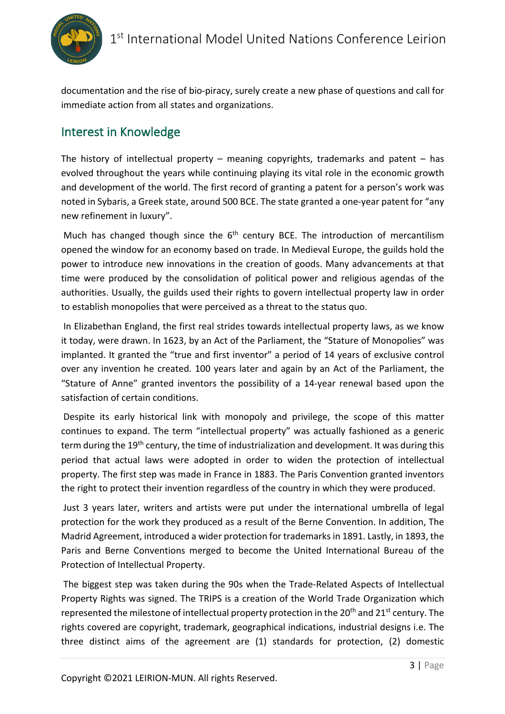

documentation and the rise of bio-piracy, surely create a new phase of questions and call for immediate action from all states and organizations.

## Interest in Knowledge

The history of intellectual property – meaning copyrights, trademarks and patent  $-$  has evolved throughout the years while continuing playing its vital role in the economic growth and development of the world. The first record of granting a patent for a person's work was noted in Sybaris, a Greek state, around 500 BCE. The state granted a one-year patent for "any new refinement in luxury".

Much has changed though since the  $6<sup>th</sup>$  century BCE. The introduction of mercantilism opened the window for an economy based on trade. In Medieval Europe, the guilds hold the power to introduce new innovations in the creation of goods. Many advancements at that time were produced by the consolidation of political power and religious agendas of the authorities. Usually, the guilds used their rights to govern intellectual property law in order to establish monopolies that were perceived as a threat to the status quo.

In Elizabethan England, the first real strides towards intellectual property laws, as we know it today, were drawn. In 1623, by an Act of the Parliament, the "Stature of Monopolies" was implanted. It granted the "true and first inventor" a period of 14 years of exclusive control over any invention he created. 100 years later and again by an Act of the Parliament, the "Stature of Anne" granted inventors the possibility of a 14-year renewal based upon the satisfaction of certain conditions.

Despite its early historical link with monopoly and privilege, the scope of this matter continues to expand. The term "intellectual property" was actually fashioned as a generic term during the 19<sup>th</sup> century, the time of industrialization and development. It was during this period that actual laws were adopted in order to widen the protection of intellectual property. The first step was made in France in 1883. The Paris Convention granted inventors the right to protect their invention regardless of the country in which they were produced.

Just 3 years later, writers and artists were put under the international umbrella of legal protection for the work they produced as a result of the Berne Convention. In addition, The Madrid Agreement, introduced a wider protection for trademarks in 1891. Lastly, in 1893, the Paris and Berne Conventions merged to become the United International Bureau of the Protection of Intellectual Property.

The biggest step was taken during the 90s when the Trade-Related Aspects of Intellectual Property Rights was signed. The TRIPS is a creation of the World Trade Organization which represented the milestone of intellectual property protection in the 20<sup>th</sup> and 21<sup>st</sup> century. The rights covered are copyright, trademark, geographical indications, industrial designs i.e. The three distinct aims of the agreement are (1) standards for protection, (2) domestic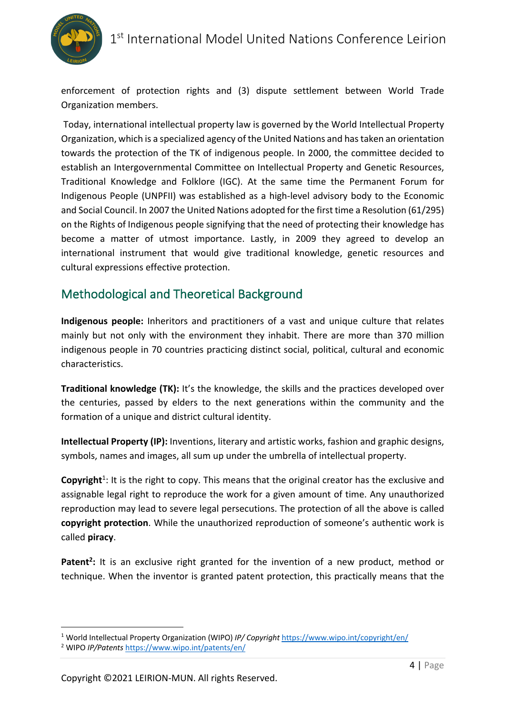

enforcement of protection rights and (3) dispute settlement between World Trade Organization members.

Today, international intellectual property law is governed by the World Intellectual Property Organization, which is a specialized agency of the United Nations and has taken an orientation towards the protection of the TK of indigenous people. In 2000, the committee decided to establish an Intergovernmental Committee on Intellectual Property and Genetic Resources, Traditional Knowledge and Folklore (IGC). At the same time the Permanent Forum for Indigenous People (UNPFII) was established as a high-level advisory body to the Economic and Social Council. In 2007 the United Nations adopted for the first time a Resolution (61/295) on the Rights of Indigenous people signifying that the need of protecting their knowledge has become a matter of utmost importance. Lastly, in 2009 they agreed to develop an international instrument that would give traditional knowledge, genetic resources and cultural expressions effective protection.

## Methodological and Theoretical Background

**Indigenous people:** Inheritors and practitioners of a vast and unique culture that relates mainly but not only with the environment they inhabit. There are more than 370 million indigenous people in 70 countries practicing distinct social, political, cultural and economic characteristics.

**Traditional knowledge (TK):** It's the knowledge, the skills and the practices developed over the centuries, passed by elders to the next generations within the community and the formation of a unique and district cultural identity.

**Intellectual Property (IP):** Inventions, literary and artistic works, fashion and graphic designs, symbols, names and images, all sum up under the umbrella of intellectual property.

Copyright<sup>1</sup>: It is the right to copy. This means that the original creator has the exclusive and assignable legal right to reproduce the work for a given amount of time. Any unauthorized reproduction may lead to severe legal persecutions. The protection of all the above is called **copyright protection**. While the unauthorized reproduction of someone's authentic work is called **piracy**.

Patent<sup>2</sup>: It is an exclusive right granted for the invention of a new product, method or technique. When the inventor is granted patent protection, this practically means that the

<sup>1</sup> World Intellectual Property Organization (WIPO) *IP/ Copyright* https://www.wipo.int/copyright/en/

<sup>2</sup> WIPO *IP/Patents* https://www.wipo.int/patents/en/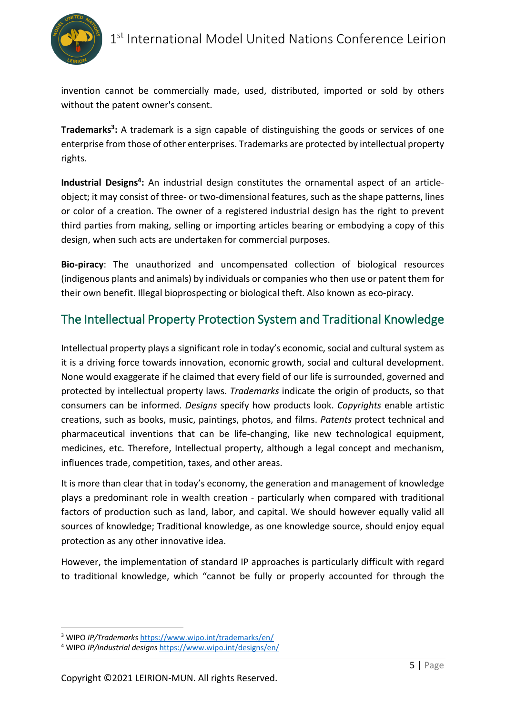

invention cannot be commercially made, used, distributed, imported or sold by others without the patent owner's consent.

**Trademarks<sup>3</sup>:** A trademark is a sign capable of distinguishing the goods or services of one enterprise from those of other enterprises. Trademarks are protected by intellectual property rights.

**Industrial Designs4:** An industrial design constitutes the ornamental aspect of an articleobject; it may consist of three- or two-dimensional features, such as the shape patterns, lines or color of a creation. The owner of a registered industrial design has the right to prevent third parties from making, selling or importing articles bearing or embodying a copy of this design, when such acts are undertaken for commercial purposes.

**Bio-piracy**: The unauthorized and uncompensated collection of biological resources (indigenous plants and animals) by individuals or companies who then use or patent them for their own benefit. Illegal bioprospecting or biological theft. Also known as eco-piracy.

## The Intellectual Property Protection System and Traditional Knowledge

Intellectual property plays a significant role in today's economic, social and cultural system as it is a driving force towards innovation, economic growth, social and cultural development. None would exaggerate if he claimed that every field of our life is surrounded, governed and protected by intellectual property laws. *Trademarks* indicate the origin of products, so that consumers can be informed. *Designs* specify how products look. *Copyrights* enable artistic creations, such as books, music, paintings, photos, and films. *Patents* protect technical and pharmaceutical inventions that can be life-changing, like new technological equipment, medicines, etc. Therefore, Intellectual property, although a legal concept and mechanism, influences trade, competition, taxes, and other areas.

It is more than clear that in today's economy, the generation and management of knowledge plays a predominant role in wealth creation - particularly when compared with traditional factors of production such as land, labor, and capital. We should however equally valid all sources of knowledge; Traditional knowledge, as one knowledge source, should enjoy equal protection as any other innovative idea.

However, the implementation of standard IP approaches is particularly difficult with regard to traditional knowledge, which "cannot be fully or properly accounted for through the

<sup>3</sup> WIPO *IP/Trademarks* https://www.wipo.int/trademarks/en/

<sup>4</sup> WIPO *IP/Industrial designs* https://www.wipo.int/designs/en/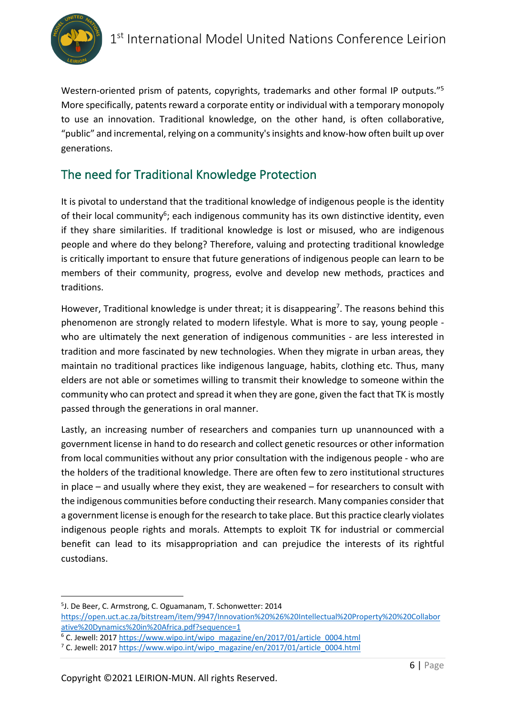

Western-oriented prism of patents, copyrights, trademarks and other formal IP outputs."<sup>5</sup> More specifically, patents reward a corporate entity or individual with a temporary monopoly to use an innovation. Traditional knowledge, on the other hand, is often collaborative, "public" and incremental, relying on a community's insights and know-how often built up over generations.

## The need for Traditional Knowledge Protection

It is pivotal to understand that the traditional knowledge of indigenous people is the identity of their local community<sup>6</sup>; each indigenous community has its own distinctive identity, even if they share similarities. If traditional knowledge is lost or misused, who are indigenous people and where do they belong? Therefore, valuing and protecting traditional knowledge is critically important to ensure that future generations of indigenous people can learn to be members of their community, progress, evolve and develop new methods, practices and traditions.

However, Traditional knowledge is under threat; it is disappearing<sup>7</sup>. The reasons behind this phenomenon are strongly related to modern lifestyle. What is more to say, young people who are ultimately the next generation of indigenous communities - are less interested in tradition and more fascinated by new technologies. When they migrate in urban areas, they maintain no traditional practices like indigenous language, habits, clothing etc. Thus, many elders are not able or sometimes willing to transmit their knowledge to someone within the community who can protect and spread it when they are gone, given the fact that TK is mostly passed through the generations in oral manner.

Lastly, an increasing number of researchers and companies turn up unannounced with a government license in hand to do research and collect genetic resources or other information from local communities without any prior consultation with the indigenous people - who are the holders of the traditional knowledge. There are often few to zero institutional structures in place – and usually where they exist, they are weakened – for researchers to consult with the indigenous communities before conducting their research. Many companies consider that a government license is enough for the research to take place. But this practice clearly violates indigenous people rights and morals. Attempts to exploit TK for industrial or commercial benefit can lead to its misappropriation and can prejudice the interests of its rightful custodians.

<sup>5</sup> J. De Beer, C. Armstrong, C. Oguamanam, T. Schonwetter: 2014

https://open.uct.ac.za/bitstream/item/9947/Innovation%20%26%20Intellectual%20Property%20%20Collabor

ative%20Dynamics%20in%20Africa.pdf?sequence=1<br>
<sup>6</sup> C. Jewell: 2017 https://www.wipo.int/wipo\_magazine/en/2017/01/article\_0004.html <sup>7</sup> C. Jewell: 2017 https://www.wipo.int/wipo\_magazine/en/2017/01/article\_0004.html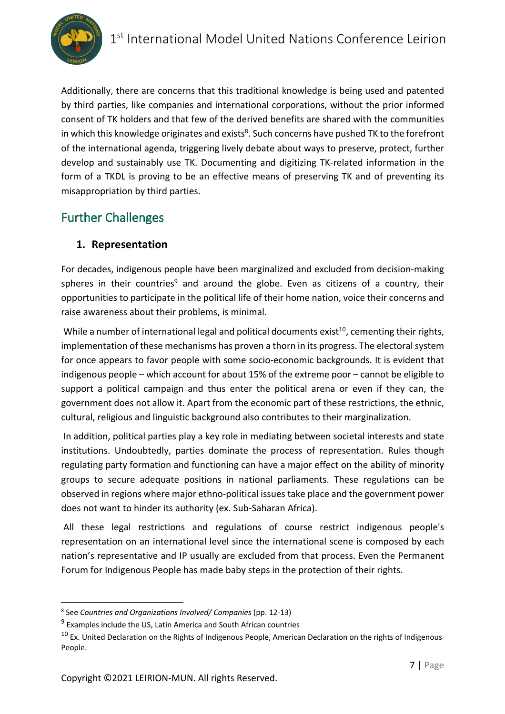Additionally, there are concerns that this traditional knowledge is being used and patented by third parties, like companies and international corporations, without the prior informed consent of TK holders and that few of the derived benefits are shared with the communities in which this knowledge originates and exists<sup>8</sup>. Such concerns have pushed TK to the forefront of the international agenda, triggering lively debate about ways to preserve, protect, further develop and sustainably use TK. Documenting and digitizing TK-related information in the form of a TKDL is proving to be an effective means of preserving TK and of preventing its misappropriation by third parties.

## Further Challenges

## **1. Representation**

For decades, indigenous people have been marginalized and excluded from decision-making spheres in their countries<sup>9</sup> and around the globe. Even as citizens of a country, their opportunities to participate in the political life of their home nation, voice their concerns and raise awareness about their problems, is minimal.

While a number of international legal and political documents exist<sup>10</sup>, cementing their rights, implementation of these mechanisms has proven a thorn in its progress. The electoral system for once appears to favor people with some socio-economic backgrounds. It is evident that indigenous people – which account for about 15% of the extreme poor – cannot be eligible to support a political campaign and thus enter the political arena or even if they can, the government does not allow it. Apart from the economic part of these restrictions, the ethnic, cultural, religious and linguistic background also contributes to their marginalization.

In addition, political parties play a key role in mediating between societal interests and state institutions. Undoubtedly, parties dominate the process of representation. Rules though regulating party formation and functioning can have a major effect on the ability of minority groups to secure adequate positions in national parliaments. These regulations can be observed in regions where major ethno-political issues take place and the government power does not want to hinder its authority (ex. Sub-Saharan Africa).

All these legal restrictions and regulations of course restrict indigenous people's representation on an international level since the international scene is composed by each nation's representative and IP usually are excluded from that process. Even the Permanent Forum for Indigenous People has made baby steps in the protection of their rights.

<sup>8</sup> See *Countries and Organizations Involved/ Companies* (pp. 12-13)

 $9$  Examples include the US, Latin America and South African countries

<sup>&</sup>lt;sup>10</sup> Ex. United Declaration on the Rights of Indigenous People, American Declaration on the rights of Indigenous People.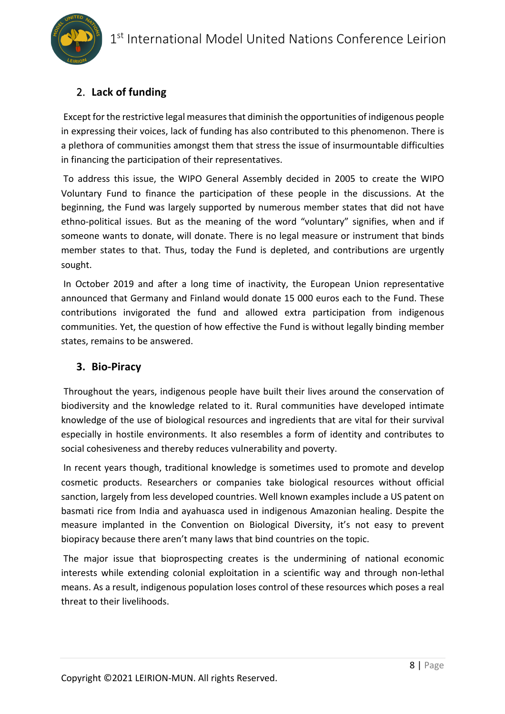

## 2. **Lack of funding**

Except for the restrictive legal measures that diminish the opportunities of indigenous people in expressing their voices, lack of funding has also contributed to this phenomenon. There is a plethora of communities amongst them that stress the issue of insurmountable difficulties in financing the participation of their representatives.

To address this issue, the WIPO General Assembly decided in 2005 to create the WIPO Voluntary Fund to finance the participation of these people in the discussions. At the beginning, the Fund was largely supported by numerous member states that did not have ethno-political issues. But as the meaning of the word "voluntary" signifies, when and if someone wants to donate, will donate. There is no legal measure or instrument that binds member states to that. Thus, today the Fund is depleted, and contributions are urgently sought.

In October 2019 and after a long time of inactivity, the European Union representative announced that Germany and Finland would donate 15 000 euros each to the Fund. These contributions invigorated the fund and allowed extra participation from indigenous communities. Yet, the question of how effective the Fund is without legally binding member states, remains to be answered.

## **3. Bio-Piracy**

Throughout the years, indigenous people have built their lives around the conservation of biodiversity and the knowledge related to it. Rural communities have developed intimate knowledge of the use of biological resources and ingredients that are vital for their survival especially in hostile environments. It also resembles a form of identity and contributes to social cohesiveness and thereby reduces vulnerability and poverty.

In recent years though, traditional knowledge is sometimes used to promote and develop cosmetic products. Researchers or companies take biological resources without official sanction, largely from less developed countries. Well known examples include a US patent on basmati rice from India and ayahuasca used in indigenous Amazonian healing. Despite the measure implanted in the Convention on Biological Diversity, it's not easy to prevent biopiracy because there aren't many laws that bind countries on the topic.

The major issue that bioprospecting creates is the undermining of national economic interests while extending colonial exploitation in a scientific way and through non-lethal means. As a result, indigenous population loses control of these resources which poses a real threat to their livelihoods.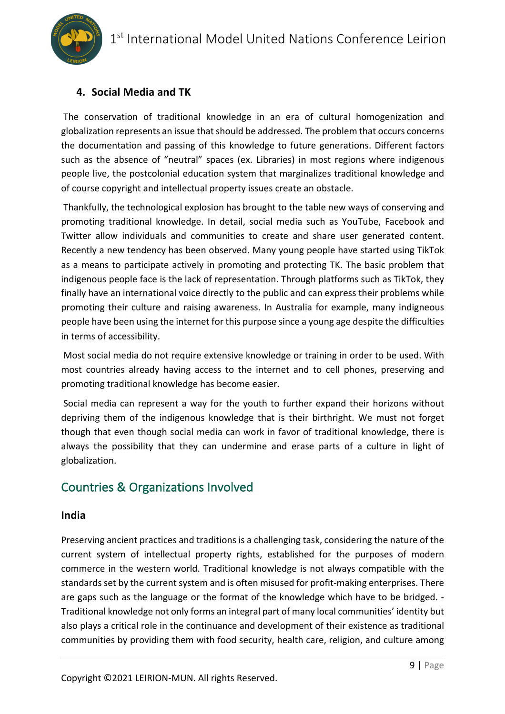

## **4. Social Media and TK**

The conservation of traditional knowledge in an era of cultural homogenization and globalization represents an issue that should be addressed. The problem that occurs concerns the documentation and passing of this knowledge to future generations. Different factors such as the absence of "neutral" spaces (ex. Libraries) in most regions where indigenous people live, the postcolonial education system that marginalizes traditional knowledge and of course copyright and intellectual property issues create an obstacle.

Thankfully, the technological explosion has brought to the table new ways of conserving and promoting traditional knowledge. In detail, social media such as YouTube, Facebook and Twitter allow individuals and communities to create and share user generated content. Recently a new tendency has been observed. Many young people have started using TikTok as a means to participate actively in promoting and protecting TK. The basic problem that indigenous people face is the lack of representation. Through platforms such as TikTok, they finally have an international voice directly to the public and can express their problems while promoting their culture and raising awareness. In Australia for example, many indigneous people have been using the internet for this purpose since a young age despite the difficulties in terms of accessibility.

Most social media do not require extensive knowledge or training in order to be used. With most countries already having access to the internet and to cell phones, preserving and promoting traditional knowledge has become easier.

Social media can represent a way for the youth to further expand their horizons without depriving them of the indigenous knowledge that is their birthright. We must not forget though that even though social media can work in favor of traditional knowledge, there is always the possibility that they can undermine and erase parts of a culture in light of globalization.

## Countries & Organizations Involved

### **India**

Preserving ancient practices and traditions is a challenging task, considering the nature of the current system of intellectual property rights, established for the purposes of modern commerce in the western world. Traditional knowledge is not always compatible with the standards set by the current system and is often misused for profit-making enterprises. There are gaps such as the language or the format of the knowledge which have to be bridged. - Traditional knowledge not only forms an integral part of many local communities' identity but also plays a critical role in the continuance and development of their existence as traditional communities by providing them with food security, health care, religion, and culture among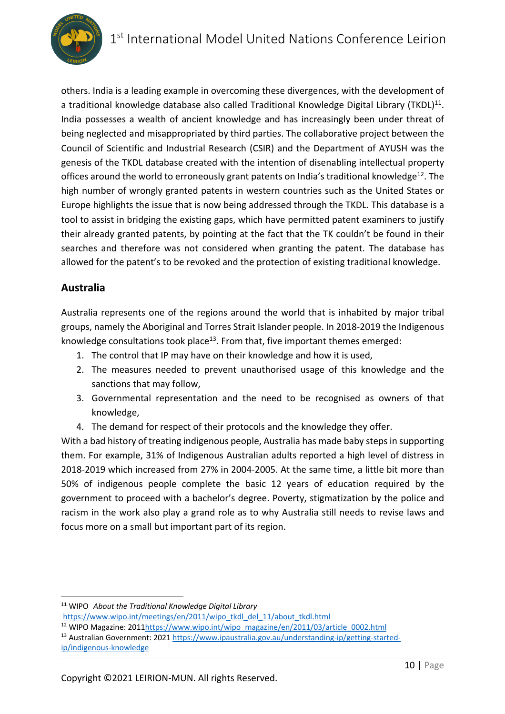

others. India is a leading example in overcoming these divergences, with the development of a traditional knowledge database also called Traditional Knowledge Digital Library (TKDL)<sup>11</sup>. India possesses a wealth of ancient knowledge and has increasingly been under threat of being neglected and misappropriated by third parties. The collaborative project between the Council of Scientific and Industrial Research (CSIR) and the Department of AYUSH was the genesis of the TKDL database created with the intention of disenabling intellectual property offices around the world to erroneously grant patents on India's traditional knowledge<sup>12</sup>. The high number of wrongly granted patents in western countries such as the United States or Europe highlights the issue that is now being addressed through the TKDL. This database is a tool to assist in bridging the existing gaps, which have permitted patent examiners to justify their already granted patents, by pointing at the fact that the TK couldn't be found in their searches and therefore was not considered when granting the patent. The database has allowed for the patent's to be revoked and the protection of existing traditional knowledge.

## **Australia**

Australia represents one of the regions around the world that is inhabited by major tribal groups, namely the Aboriginal and Torres Strait Islander people. In 2018-2019 the Indigenous knowledge consultations took place<sup>13</sup>. From that, five important themes emerged:

- 1. The control that IP may have on their knowledge and how it is used,
- 2. The measures needed to prevent unauthorised usage of this knowledge and the sanctions that may follow,
- 3. Governmental representation and the need to be recognised as owners of that knowledge,
- 4. The demand for respect of their protocols and the knowledge they offer.

With a bad history of treating indigenous people, Australia has made baby steps in supporting them. For example, 31% of Indigenous Australian adults reported a high level of distress in 2018-2019 which increased from 27% in 2004-2005. At the same time, a little bit more than 50% of indigenous people complete the basic 12 years of education required by the government to proceed with a bachelor's degree. Poverty, stigmatization by the police and racism in the work also play a grand role as to why Australia still needs to revise laws and focus more on a small but important part of its region.

<sup>11</sup> WIPO *About the Traditional Knowledge Digital Library*

https://www.wipo.int/meetings/en/2011/wipo\_tkdl\_del\_11/about\_tkdl.html

<sup>12</sup> WIPO Magazine: 2011https://www.wipo.int/wipo\_magazine/en/2011/03/article\_0002.html

<sup>13</sup> Australian Government: 2021 https://www.ipaustralia.gov.au/understanding-ip/getting-startedip/indigenous-knowledge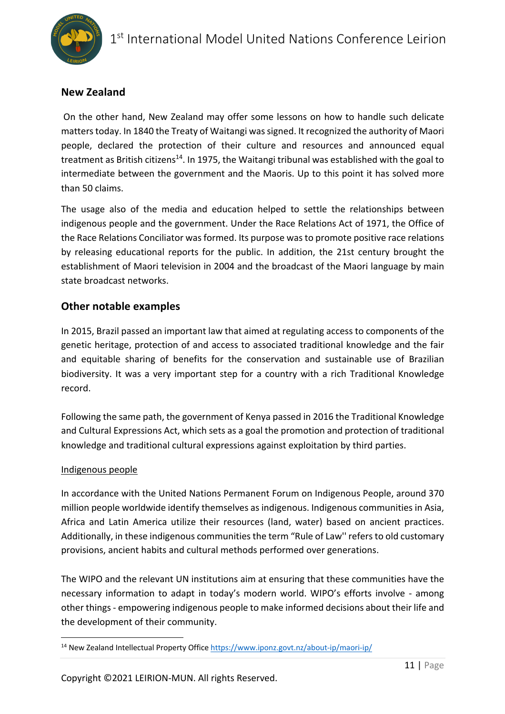

## **New Zealand**

On the other hand, New Zealand may offer some lessons on how to handle such delicate matters today. In 1840 the Treaty of Waitangi was signed. It recognized the authority of Maori people, declared the protection of their culture and resources and announced equal treatment as British citizens<sup>14</sup>. In 1975, the Waitangi tribunal was established with the goal to intermediate between the government and the Maoris. Up to this point it has solved more than 50 claims.

The usage also of the media and education helped to settle the relationships between indigenous people and the government. Under the Race Relations Act of 1971, the Office of the Race Relations Conciliator was formed. Its purpose was to promote positive race relations by releasing educational reports for the public. In addition, the 21st century brought the establishment of Maori television in 2004 and the broadcast of the Maori language by main state broadcast networks.

### **Other notable examples**

In 2015, Brazil passed an important law that aimed at regulating access to components of the genetic heritage, protection of and access to associated traditional knowledge and the fair and equitable sharing of benefits for the conservation and sustainable use of Brazilian biodiversity. It was a very important step for a country with a rich Traditional Knowledge record.

Following the same path, the government of Kenya passed in 2016 the Traditional Knowledge and Cultural Expressions Act, which sets as a goal the promotion and protection of traditional knowledge and traditional cultural expressions against exploitation by third parties.

### Indigenous people

In accordance with the United Nations Permanent Forum on Indigenous People, around 370 million people worldwide identify themselves as indigenous. Indigenous communities in Asia, Africa and Latin America utilize their resources (land, water) based on ancient practices. Additionally, in these indigenous communities the term "Rule of Law'' refers to old customary provisions, ancient habits and cultural methods performed over generations.

The WIPO and the relevant UN institutions aim at ensuring that these communities have the necessary information to adapt in today's modern world. WIPO's efforts involve - among other things - empowering indigenous people to make informed decisions about their life and the development of their community.

<sup>14</sup> New Zealand Intellectual Property Office https://www.iponz.govt.nz/about-ip/maori-ip/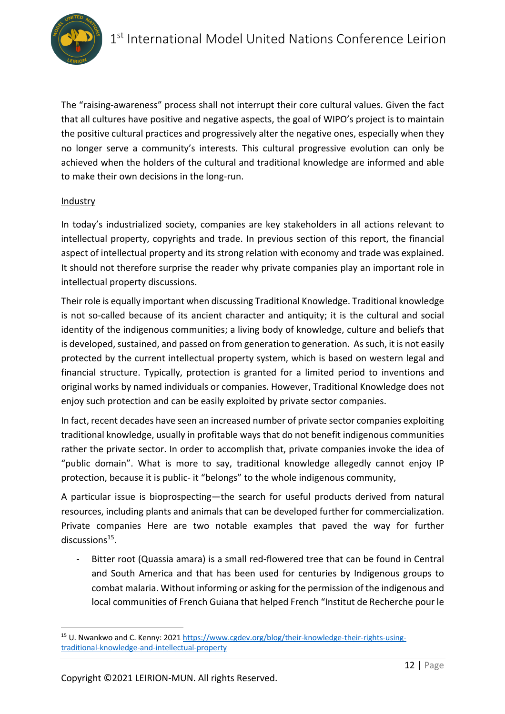

The "raising-awareness" process shall not interrupt their core cultural values. Given the fact that all cultures have positive and negative aspects, the goal of WIPO's project is to maintain the positive cultural practices and progressively alter the negative ones, especially when they no longer serve a community's interests. This cultural progressive evolution can only be achieved when the holders of the cultural and traditional knowledge are informed and able to make their own decisions in the long-run.

#### Industry

In today's industrialized society, companies are key stakeholders in all actions relevant to intellectual property, copyrights and trade. In previous section of this report, the financial aspect of intellectual property and its strong relation with economy and trade was explained. It should not therefore surprise the reader why private companies play an important role in intellectual property discussions.

Their role is equally important when discussing Traditional Knowledge. Traditional knowledge is not so-called because of its ancient character and antiquity; it is the cultural and social identity of the indigenous communities; a living body of knowledge, culture and beliefs that is developed, sustained, and passed on from generation to generation. As such, it is not easily protected by the current intellectual property system, which is based on western legal and financial structure. Typically, protection is granted for a limited period to inventions and original works by named individuals or companies. However, Traditional Knowledge does not enjoy such protection and can be easily exploited by private sector companies.

In fact, recent decades have seen an increased number of private sector companies exploiting traditional knowledge, usually in profitable ways that do not benefit indigenous communities rather the private sector. In order to accomplish that, private companies invoke the idea of "public domain". What is more to say, traditional knowledge allegedly cannot enjoy IP protection, because it is public- it "belongs" to the whole indigenous community,

A particular issue is bioprospecting—the search for useful products derived from natural resources, including plants and animals that can be developed further for commercialization. Private companies Here are two notable examples that paved the way for further discussions<sup>15</sup>.

Bitter root (Quassia amara) is a small red-flowered tree that can be found in Central and South America and that has been used for centuries by Indigenous groups to combat malaria. Without informing or asking for the permission of the indigenous and local communities of French Guiana that helped French "Institut de Recherche pour le

<sup>&</sup>lt;sup>15</sup> U. Nwankwo and C. Kenny: 2021 https://www.cgdev.org/blog/their-knowledge-their-rights-usingtraditional-knowledge-and-intellectual-property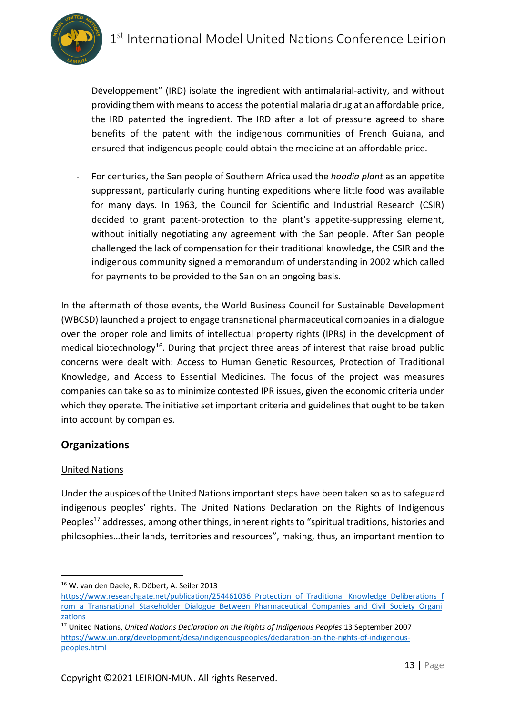Développement" (IRD) isolate the ingredient with antimalarial-activity, and without providing them with means to access the potential malaria drug at an affordable price, the IRD patented the ingredient. The IRD after a lot of pressure agreed to share benefits of the patent with the indigenous communities of French Guiana, and ensured that indigenous people could obtain the medicine at an affordable price.

- For centuries, the San people of Southern Africa used the *hoodia plant* as an appetite suppressant, particularly during hunting expeditions where little food was available for many days. In 1963, the Council for Scientific and Industrial Research (CSIR) decided to grant patent-protection to the plant's appetite-suppressing element, without initially negotiating any agreement with the San people. After San people challenged the lack of compensation for their traditional knowledge, the CSIR and the indigenous community signed a memorandum of understanding in 2002 which called for payments to be provided to the San on an ongoing basis.

In the aftermath of those events, the World Business Council for Sustainable Development (WBCSD) launched a project to engage transnational pharmaceutical companies in a dialogue over the proper role and limits of intellectual property rights (IPRs) in the development of medical biotechnology<sup>16</sup>. During that project three areas of interest that raise broad public concerns were dealt with: Access to Human Genetic Resources, Protection of Traditional Knowledge, and Access to Essential Medicines. The focus of the project was measures companies can take so as to minimize contested IPR issues, given the economic criteria under which they operate. The initiative set important criteria and guidelines that ought to be taken into account by companies.

## **Organizations**

### United Nations

Under the auspices of the United Nations important steps have been taken so as to safeguard indigenous peoples' rights. The United Nations Declaration on the Rights of Indigenous Peoples<sup>17</sup> addresses, among other things, inherent rights to "spiritual traditions, histories and philosophies…their lands, territories and resources", making, thus, an important mention to

<sup>16</sup> W. van den Daele, R. Döbert, A. Seiler 2013

https://www.researchgate.net/publication/254461036\_Protection\_of\_Traditional\_Knowledge\_Deliberations\_f rom a Transnational Stakeholder Dialogue Between Pharmaceutical Companies and Civil Society Organi zations<br><sup>17</sup> United Nations, *United Nations Declaration on the Rights of Indigenous Peoples* 13 September 2007

https://www.un.org/development/desa/indigenouspeoples/declaration-on-the-rights-of-indigenouspeoples.html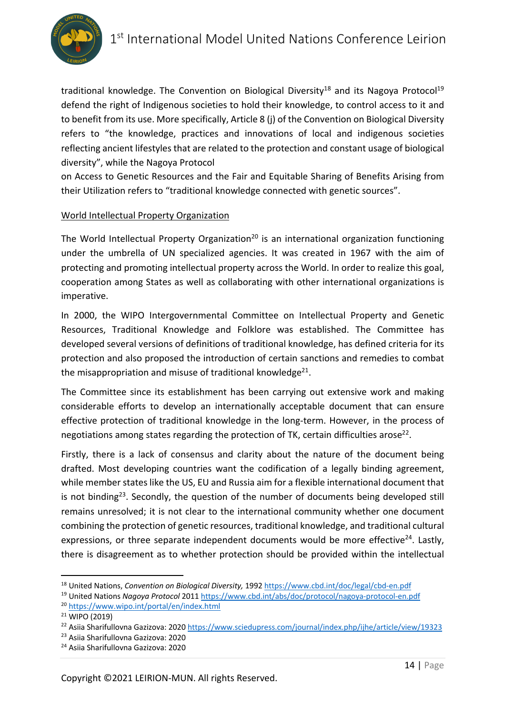

traditional knowledge. The Convention on Biological Diversity<sup>18</sup> and its Nagoya Protocol<sup>19</sup> defend the right of Indigenous societies to hold their knowledge, to control access to it and to benefit from its use. More specifically, Article 8 (j) of the Convention on Biological Diversity refers to "the knowledge, practices and innovations of local and indigenous societies reflecting ancient lifestyles that are related to the protection and constant usage of biological diversity", while the Nagoya Protocol

on Access to Genetic Resources and the Fair and Equitable Sharing of Benefits Arising from their Utilization refers to "traditional knowledge connected with genetic sources".

### World Intellectual Property Organization

The World Intellectual Property Organization<sup>20</sup> is an international organization functioning under the umbrella of UN specialized agencies. It was created in 1967 with the aim of protecting and promoting intellectual property across the World. In order to realize this goal, cooperation among States as well as collaborating with other international organizations is imperative.

In 2000, the WIPO Intergovernmental Committee on Intellectual Property and Genetic Resources, Traditional Knowledge and Folklore was established. The Committee has developed several versions of definitions of traditional knowledge, has defined criteria for its protection and also proposed the introduction of certain sanctions and remedies to combat the misappropriation and misuse of traditional knowledge $21$ .

The Committee since its establishment has been carrying out extensive work and making considerable efforts to develop an internationally acceptable document that can ensure effective protection of traditional knowledge in the long-term. However, in the process of negotiations among states regarding the protection of TK, certain difficulties arose<sup>22</sup>.

Firstly, there is a lack of consensus and clarity about the nature of the document being drafted. Most developing countries want the codification of a legally binding agreement, while member states like the US, EU and Russia aim for a flexible international document that is not binding<sup>23</sup>. Secondly, the question of the number of documents being developed still remains unresolved; it is not clear to the international community whether one document combining the protection of genetic resources, traditional knowledge, and traditional cultural expressions, or three separate independent documents would be more effective<sup>24</sup>. Lastly, there is disagreement as to whether protection should be provided within the intellectual

<sup>18</sup> United Nations, *Convention on Biological Diversity,* 1992 https://www.cbd.int/doc/legal/cbd-en.pdf

<sup>19</sup> United Nations *Nagoya Protocol* 2011 https://www.cbd.int/abs/doc/protocol/nagoya-protocol-en.pdf

<sup>20</sup> https://www.wipo.int/portal/en/index.html

<sup>&</sup>lt;sup>21</sup> WIPO (2019)<br><sup>22</sup> Asiia Sharifullovna Gazizova: 2020 https://www.sciedupress.com/journal/index.php/ijhe/article/view/19323

<sup>&</sup>lt;sup>23</sup> Asiia Sharifullovna Gazizova: 2020<br><sup>24</sup> Asiia Sharifullovna Gazizova: 2020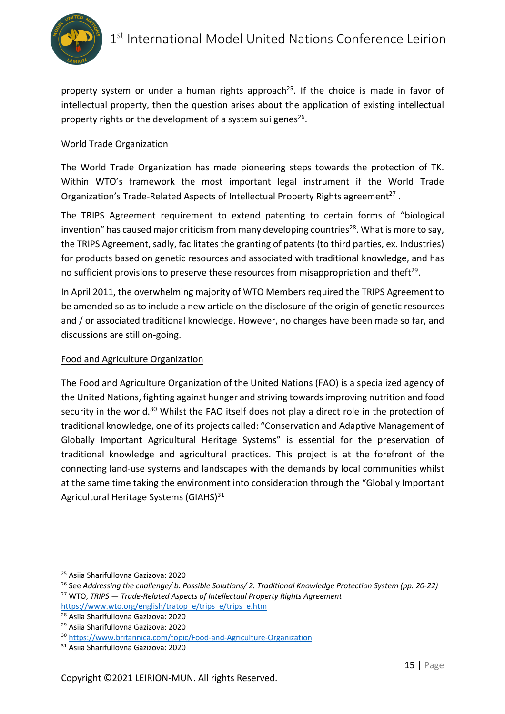

property system or under a human rights approach<sup>25</sup>. If the choice is made in favor of intellectual property, then the question arises about the application of existing intellectual property rights or the development of a system sui genes<sup>26</sup>.

### World Trade Organization

The World Trade Organization has made pioneering steps towards the protection of TK. Within WTO's framework the most important legal instrument if the World Trade Organization's Trade-Related Aspects of Intellectual Property Rights agreement<sup>27</sup>.

The TRIPS Agreement requirement to extend patenting to certain forms of "biological invention" has caused major criticism from many developing countries<sup>28</sup>. What is more to say, the TRIPS Agreement, sadly, facilitates the granting of patents (to third parties, ex. Industries) for products based on genetic resources and associated with traditional knowledge, and has no sufficient provisions to preserve these resources from misappropriation and theft $^{29}$ .

In April 2011, the overwhelming majority of WTO Members required the TRIPS Agreement to be amended so as to include a new article on the disclosure of the origin of genetic resources and / or associated traditional knowledge. However, no changes have been made so far, and discussions are still on-going.

### Food and Agriculture Organization

The Food and Agriculture Organization of the United Nations (FAO) is a specialized agency of the United Nations, fighting against hunger and striving towards improving nutrition and food security in the world.<sup>30</sup> Whilst the FAO itself does not play a direct role in the protection of traditional knowledge, one of its projects called: "Conservation and Adaptive Management of Globally Important Agricultural Heritage Systems" is essential for the preservation of traditional knowledge and agricultural practices. This project is at the forefront of the connecting land-use systems and landscapes with the demands by local communities whilst at the same time taking the environment into consideration through the "Globally Important Agricultural Heritage Systems (GIAHS)<sup>31</sup>

<sup>&</sup>lt;sup>25</sup> Asiia Sharifullovna Gazizova: 2020<br><sup>26</sup> See Addressing the challenge/ b. Possible Solutions/ 2. Traditional Knowledge Protection System (pp. 20-22) <sup>27</sup> WTO, *TRIPS — Trade-Related Aspects of Intellectual Property Rights Agreement* 

https://www.wto.org/english/tratop\_e/trips\_e/trips\_e.htm

<sup>28</sup> Asiia Sharifullovna Gazizova: 2020

<sup>29</sup> Asiia Sharifullovna Gazizova: 2020

<sup>30</sup> https://www.britannica.com/topic/Food-and-Agriculture-Organization

<sup>31</sup> Asiia Sharifullovna Gazizova: 2020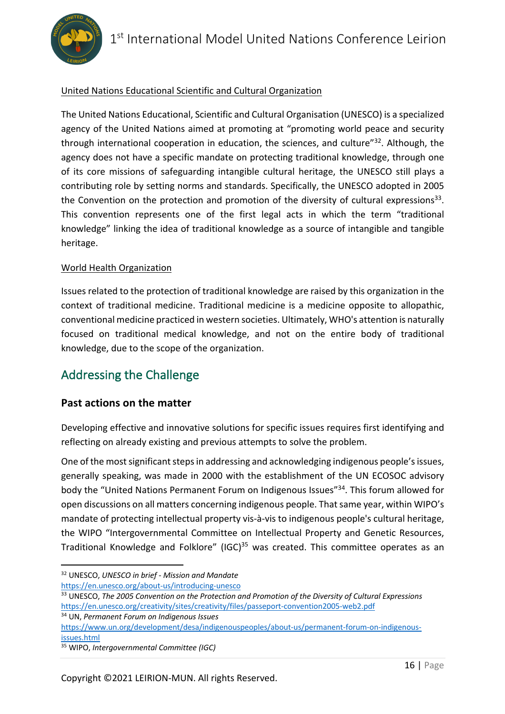

### United Nations Educational Scientific and Cultural Organization

The United Nations Educational, Scientific and Cultural Organisation (UNESCO) is a specialized agency of the United Nations aimed at promoting at "promoting world peace and security through international cooperation in education, the sciences, and culture"<sup>32</sup>. Although, the agency does not have a specific mandate on protecting traditional knowledge, through one of its core missions of safeguarding intangible cultural heritage, the UNESCO still plays a contributing role by setting norms and standards. Specifically, the UNESCO adopted in 2005 the Convention on the protection and promotion of the diversity of cultural expressions<sup>33</sup>. This convention represents one of the first legal acts in which the term "traditional knowledge" linking the idea of traditional knowledge as a source of intangible and tangible heritage.

### World Health Organization

Issues related to the protection of traditional knowledge are raised by this organization in the context of traditional medicine. Traditional medicine is a medicine opposite to allopathic, conventional medicine practiced in western societies. Ultimately, WHO's attention is naturally focused on traditional medical knowledge, and not on the entire body of traditional knowledge, due to the scope of the organization.

## Addressing the Challenge

### **Past actions on the matter**

Developing effective and innovative solutions for specific issues requires first identifying and reflecting on already existing and previous attempts to solve the problem.

One of the most significant steps in addressing and acknowledging indigenous people's issues, generally speaking, was made in 2000 with the establishment of the UN ECOSOC advisory body the "United Nations Permanent Forum on Indigenous Issues"<sup>34</sup>. This forum allowed for open discussions on all matters concerning indigenous people. That same year, within WIPO's mandate of protecting intellectual property vis-à-vis to indigenous people's cultural heritage, the WIPO "Intergovernmental Committee on Intellectual Property and Genetic Resources, Traditional Knowledge and Folklore" (IGC)<sup>35</sup> was created. This committee operates as an

https://en.unesco.org/about-us/introducing-unesco

<sup>34</sup> UN, *Permanent Forum on Indigenous Issues*

https://www.un.org/development/desa/indigenouspeoples/about-us/permanent-forum-on-indigenousissues.html

<sup>32</sup> UNESCO, *UNESCO in brief - Mission and Mandate*

<sup>33</sup> UNESCO, *The 2005 Convention on the Protection and Promotion of the Diversity of Cultural Expressions* https://en.unesco.org/creativity/sites/creativity/files/passeport-convention2005-web2.pdf

<sup>35</sup> WIPO, *Intergovernmental Committee (IGC)*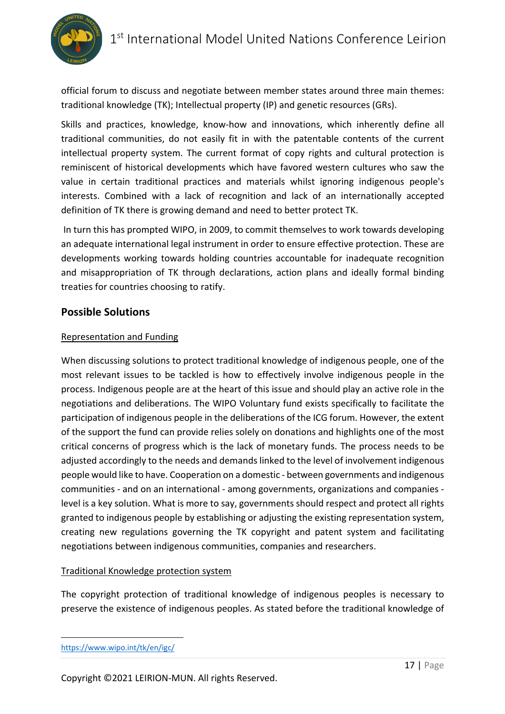

official forum to discuss and negotiate between member states around three main themes: traditional knowledge (TK); Intellectual property (IP) and genetic resources (GRs).

Skills and practices, knowledge, know-how and innovations, which inherently define all traditional communities, do not easily fit in with the patentable contents of the current intellectual property system. The current format of copy rights and cultural protection is reminiscent of historical developments which have favored western cultures who saw the value in certain traditional practices and materials whilst ignoring indigenous people's interests. Combined with a lack of recognition and lack of an internationally accepted definition of TK there is growing demand and need to better protect TK.

In turn this has prompted WIPO, in 2009, to commit themselves to work towards developing an adequate international legal instrument in order to ensure effective protection. These are developments working towards holding countries accountable for inadequate recognition and misappropriation of TK through declarations, action plans and ideally formal binding treaties for countries choosing to ratify.

### **Possible Solutions**

### Representation and Funding

When discussing solutions to protect traditional knowledge of indigenous people, one of the most relevant issues to be tackled is how to effectively involve indigenous people in the process. Indigenous people are at the heart of this issue and should play an active role in the negotiations and deliberations. The WIPO Voluntary fund exists specifically to facilitate the participation of indigenous people in the deliberations of the ICG forum. However, the extent of the support the fund can provide relies solely on donations and highlights one of the most critical concerns of progress which is the lack of monetary funds. The process needs to be adjusted accordingly to the needs and demands linked to the level of involvement indigenous people would like to have. Cooperation on a domestic - between governments and indigenous communities - and on an international - among governments, organizations and companies level is a key solution. What is more to say, governments should respect and protect all rights granted to indigenous people by establishing or adjusting the existing representation system, creating new regulations governing the TK copyright and patent system and facilitating negotiations between indigenous communities, companies and researchers.

### Traditional Knowledge protection system

The copyright protection of traditional knowledge of indigenous peoples is necessary to preserve the existence of indigenous peoples. As stated before the traditional knowledge of

https://www.wipo.int/tk/en/igc/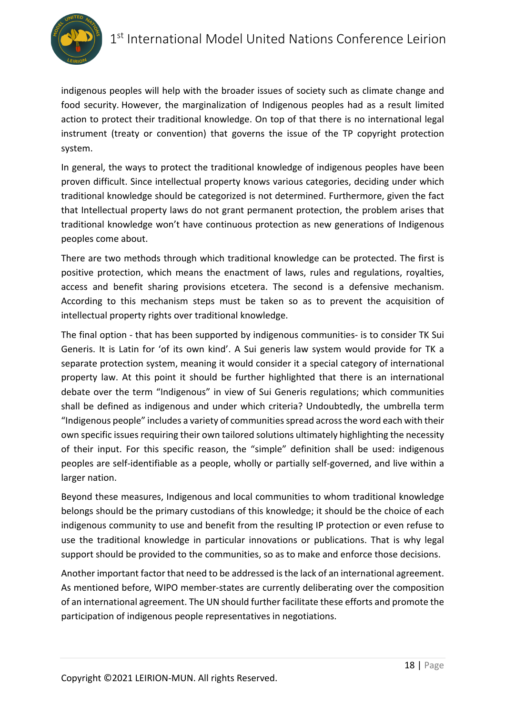

indigenous peoples will help with the broader issues of society such as climate change and food security. However, the marginalization of Indigenous peoples had as a result limited action to protect their traditional knowledge. On top of that there is no international legal instrument (treaty or convention) that governs the issue of the TP copyright protection system.

In general, the ways to protect the traditional knowledge of indigenous peoples have been proven difficult. Since intellectual property knows various categories, deciding under which traditional knowledge should be categorized is not determined. Furthermore, given the fact that Intellectual property laws do not grant permanent protection, the problem arises that traditional knowledge won't have continuous protection as new generations of Indigenous peoples come about.

There are two methods through which traditional knowledge can be protected. The first is positive protection, which means the enactment of laws, rules and regulations, royalties, access and benefit sharing provisions etcetera. The second is a defensive mechanism. According to this mechanism steps must be taken so as to prevent the acquisition of intellectual property rights over traditional knowledge.

The final option - that has been supported by indigenous communities- is to consider TK Sui Generis. It is Latin for 'of its own kind'. A Sui generis law system would provide for TK a separate protection system, meaning it would consider it a special category of international property law. At this point it should be further highlighted that there is an international debate over the term "Indigenous" in view of Sui Generis regulations; which communities shall be defined as indigenous and under which criteria? Undoubtedly, the umbrella term "Indigenous people" includes a variety of communities spread across the word each with their own specific issues requiring their own tailored solutions ultimately highlighting the necessity of their input. For this specific reason, the "simple" definition shall be used: indigenous peoples are self-identifiable as a people, wholly or partially self-governed, and live within a larger nation.

Beyond these measures, Indigenous and local communities to whom traditional knowledge belongs should be the primary custodians of this knowledge; it should be the choice of each indigenous community to use and benefit from the resulting IP protection or even refuse to use the traditional knowledge in particular innovations or publications. That is why legal support should be provided to the communities, so as to make and enforce those decisions.

Another important factor that need to be addressed is the lack of an international agreement. As mentioned before, WIPO member-states are currently deliberating over the composition of an international agreement. The UN should further facilitate these efforts and promote the participation of indigenous people representatives in negotiations.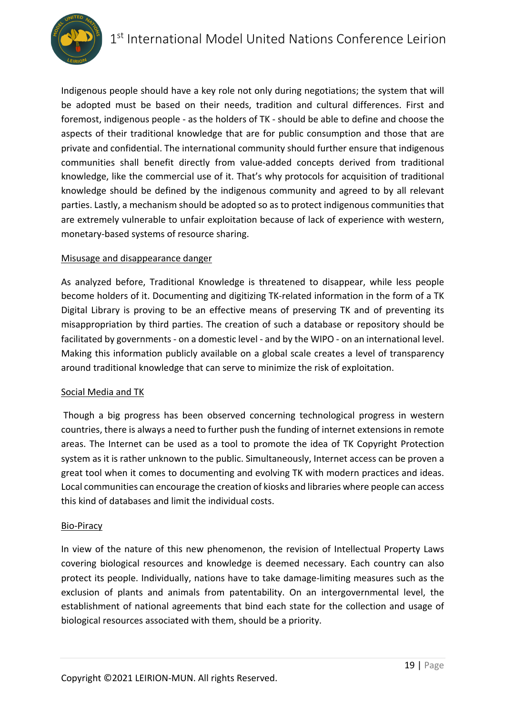

Indigenous people should have a key role not only during negotiations; the system that will be adopted must be based on their needs, tradition and cultural differences. First and foremost, indigenous people - as the holders of TK - should be able to define and choose the aspects of their traditional knowledge that are for public consumption and those that are private and confidential. The international community should further ensure that indigenous communities shall benefit directly from value-added concepts derived from traditional knowledge, like the commercial use of it. That's why protocols for acquisition of traditional knowledge should be defined by the indigenous community and agreed to by all relevant parties. Lastly, a mechanism should be adopted so as to protect indigenous communities that are extremely vulnerable to unfair exploitation because of lack of experience with western, monetary-based systems of resource sharing.

#### Misusage and disappearance danger

As analyzed before, Traditional Knowledge is threatened to disappear, while less people become holders of it. Documenting and digitizing TK-related information in the form of a TK Digital Library is proving to be an effective means of preserving TK and of preventing its misappropriation by third parties. The creation of such a database or repository should be facilitated by governments - on a domestic level - and by the WIPO - on an international level. Making this information publicly available on a global scale creates a level of transparency around traditional knowledge that can serve to minimize the risk of exploitation.

#### Social Media and TK

Though a big progress has been observed concerning technological progress in western countries, there is always a need to further push the funding of internet extensions in remote areas. The Internet can be used as a tool to promote the idea of TK Copyright Protection system as it is rather unknown to the public. Simultaneously, Internet access can be proven a great tool when it comes to documenting and evolving TK with modern practices and ideas. Local communities can encourage the creation of kiosks and libraries where people can access this kind of databases and limit the individual costs.

#### Bio-Piracy

In view of the nature of this new phenomenon, the revision of Intellectual Property Laws covering biological resources and knowledge is deemed necessary. Each country can also protect its people. Individually, nations have to take damage-limiting measures such as the exclusion of plants and animals from patentability. On an intergovernmental level, the establishment of national agreements that bind each state for the collection and usage of biological resources associated with them, should be a priority.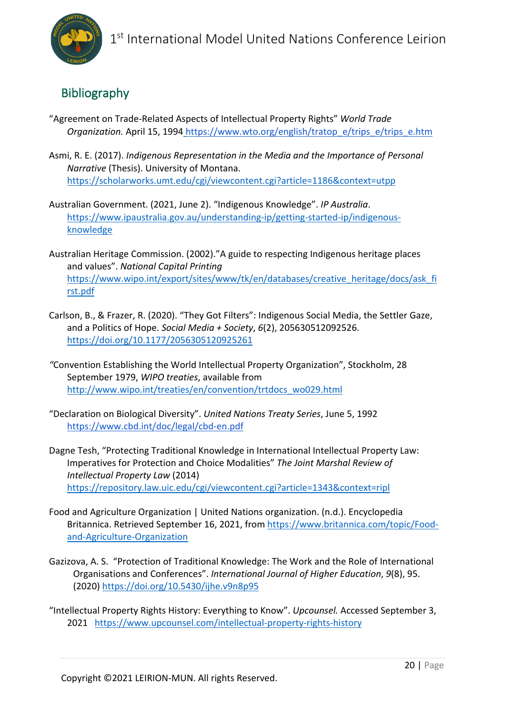

## Bibliography

- "Agreement on Trade-Related Aspects of Intellectual Property Rights" *World Trade Organization.* April 15, 1994 https://www.wto.org/english/tratop\_e/trips\_e/trips\_e.htm
- Asmi, R. E. (2017). *Indigenous Representation in the Media and the Importance of Personal Narrative* (Thesis). University of Montana. https://scholarworks.umt.edu/cgi/viewcontent.cgi?article=1186&context=utpp
- Australian Government. (2021, June 2). "Indigenous Knowledge". *IP Australia*. https://www.ipaustralia.gov.au/understanding-ip/getting-started-ip/indigenousknowledge
- Australian Heritage Commission. (2002)."A guide to respecting Indigenous heritage places and values". *National Capital Printing*  https://www.wipo.int/export/sites/www/tk/en/databases/creative\_heritage/docs/ask\_fi rst.pdf
- Carlson, B., & Frazer, R. (2020). "They Got Filters": Indigenous Social Media, the Settler Gaze, and a Politics of Hope. *Social Media + Society*, *6*(2), 205630512092526. https://doi.org/10.1177/2056305120925261
- *"*Convention Establishing the World Intellectual Property Organization", Stockholm, 28 September 1979, *WIPO treaties*, available from http://www.wipo.int/treaties/en/convention/trtdocs\_wo029.html
- "Declaration on Biological Diversity". *United Nations Treaty Series*, June 5, 1992 https://www.cbd.int/doc/legal/cbd-en.pdf
- Dagne Tesh, "Protecting Traditional Knowledge in International Intellectual Property Law: Imperatives for Protection and Choice Modalities" *The Joint Marshal Review of Intellectual Property Law* (2014) https://repository.law.uic.edu/cgi/viewcontent.cgi?article=1343&context=ripl
- Food and Agriculture Organization | United Nations organization. (n.d.). Encyclopedia Britannica. Retrieved September 16, 2021, from https://www.britannica.com/topic/Foodand-Agriculture-Organization
- Gazizova, A. S. "Protection of Traditional Knowledge: The Work and the Role of International Organisations and Conferences". *International Journal of Higher Education*, *9*(8), 95. (2020) https://doi.org/10.5430/ijhe.v9n8p95
- "Intellectual Property Rights History: Everything to Know". *Upcounsel.* Accessed September 3, 2021 https://www.upcounsel.com/intellectual-property-rights-history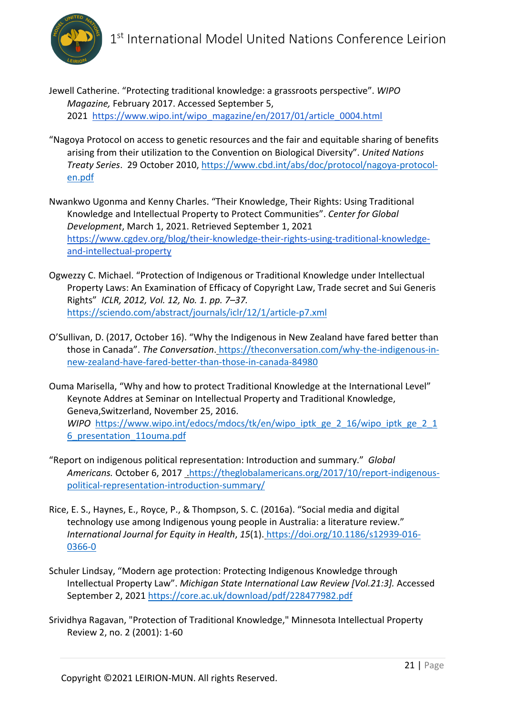

- Jewell Catherine. "Protecting traditional knowledge: a grassroots perspective". *WIPO Magazine,* February 2017. Accessed September 5, 2021 https://www.wipo.int/wipo\_magazine/en/2017/01/article\_0004.html
- "Nagoya Protocol on access to genetic resources and the fair and equitable sharing of benefits arising from their utilization to the Convention on Biological Diversity". *United Nations Treaty Series*. 29 October 2010, https://www.cbd.int/abs/doc/protocol/nagoya-protocolen.pdf
- Nwankwo Ugonma and Kenny Charles. "Their Knowledge, Their Rights: Using Traditional Knowledge and Intellectual Property to Protect Communities". *Center for Global Development*, March 1, 2021. Retrieved September 1, 2021 https://www.cgdev.org/blog/their-knowledge-their-rights-using-traditional-knowledgeand-intellectual-property
- Ogwezzy C. Michael. "Protection of Indigenous or Traditional Knowledge under Intellectual Property Laws: An Examination of Efficacy of Copyright Law, Trade secret and Sui Generis Rights" *ICLR, 2012, Vol. 12, No. 1. pp. 7–37.*  https://sciendo.com/abstract/journals/iclr/12/1/article-p7.xml
- O'Sullivan, D. (2017, October 16). "Why the Indigenous in New Zealand have fared better than those in Canada". *The Conversation*. https://theconversation.com/why-the-indigenous-innew-zealand-have-fared-better-than-those-in-canada-84980
- Ouma Marisella, "Why and how to protect Traditional Knowledge at the International Level" Keynote Addres at Seminar on Intellectual Property and Traditional Knowledge, Geneva,Switzerland, November 25, 2016. *WIPO* https://www.wipo.int/edocs/mdocs/tk/en/wipo\_iptk\_ge\_2\_16/wipo\_iptk\_ge\_2\_1 6\_presentation\_11ouma.pdf
- "Report on indigenous political representation: Introduction and summary." *Global Americans.* October 6, 2017 .https://theglobalamericans.org/2017/10/report-indigenouspolitical-representation-introduction-summary/
- Rice, E. S., Haynes, E., Royce, P., & Thompson, S. C. (2016a). "Social media and digital technology use among Indigenous young people in Australia: a literature review." *International Journal for Equity in Health*, *15*(1). https://doi.org/10.1186/s12939-016- 0366-0
- Schuler Lindsay, "Modern age protection: Protecting Indigenous Knowledge through Intellectual Property Law". *Michigan State International Law Review [Vol.21:3].* Accessed September 2, 2021 https://core.ac.uk/download/pdf/228477982.pdf
- Srividhya Ragavan, "Protection of Traditional Knowledge," Minnesota Intellectual Property Review 2, no. 2 (2001): 1-60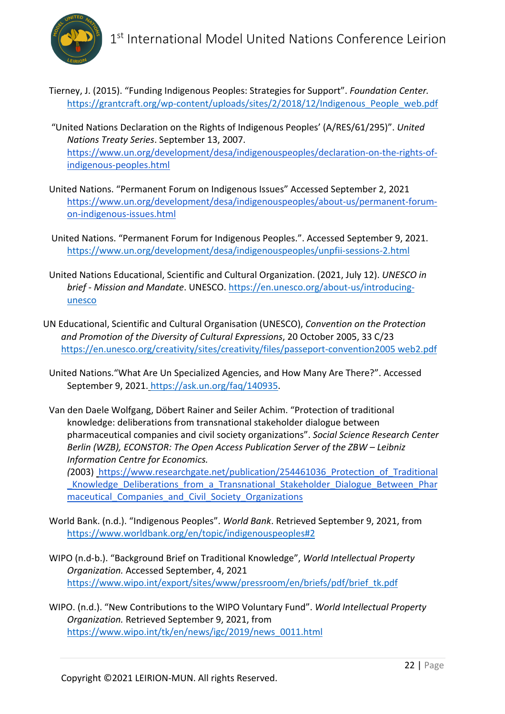

- Tierney, J. (2015). "Funding Indigenous Peoples: Strategies for Support". *Foundation Center.* https://grantcraft.org/wp-content/uploads/sites/2/2018/12/Indigenous\_People\_web.pdf
- "United Nations Declaration on the Rights of Indigenous Peoples' (A/RES/61/295)". *United Nations Treaty Series*. September 13, 2007. https://www.un.org/development/desa/indigenouspeoples/declaration-on-the-rights-ofindigenous-peoples.html
- United Nations. "Permanent Forum on Indigenous Issues" Accessed September 2, 2021 https://www.un.org/development/desa/indigenouspeoples/about-us/permanent-forumon-indigenous-issues.html
- United Nations. "Permanent Forum for Indigenous Peoples.". Accessed September 9, 2021. https://www.un.org/development/desa/indigenouspeoples/unpfii-sessions-2.html
- United Nations Educational, Scientific and Cultural Organization. (2021, July 12). *UNESCO in brief - Mission and Mandate*. UNESCO. https://en.unesco.org/about-us/introducingunesco
- UN Educational, Scientific and Cultural Organisation (UNESCO), *Convention on the Protection and Promotion of the Diversity of Cultural Expressions*, 20 October 2005, 33 C/23 https://en.unesco.org/creativity/sites/creativity/files/passeport-convention2005 web2.pdf
	- United Nations."What Are Un Specialized Agencies, and How Many Are There?". Accessed September 9, 2021. https://ask.un.org/faq/140935.
	- Van den Daele Wolfgang, Döbert Rainer and Seiler Achim. "Protection of traditional knowledge: deliberations from transnational stakeholder dialogue between pharmaceutical companies and civil society organizations". *Social Science Research Center Berlin (WZB), ECONSTOR: The Open Access Publication Server of the ZBW – Leibniz Information Centre for Economics.*

*(*2003) https://www.researchgate.net/publication/254461036\_Protection\_of\_Traditional \_Knowledge\_Deliberations\_from\_a\_Transnational\_Stakeholder\_Dialogue\_Between\_Phar maceutical Companies and Civil Society Organizations

- World Bank. (n.d.). "Indigenous Peoples". *World Bank*. Retrieved September 9, 2021, from https://www.worldbank.org/en/topic/indigenouspeoples#2
- WIPO (n.d-b.). "Background Brief on Traditional Knowledge", *World Intellectual Property Organization.* Accessed September, 4, 2021 https://www.wipo.int/export/sites/www/pressroom/en/briefs/pdf/brief\_tk.pdf
- WIPO. (n.d.). "New Contributions to the WIPO Voluntary Fund". *World Intellectual Property Organization.* Retrieved September 9, 2021, from https://www.wipo.int/tk/en/news/igc/2019/news\_0011.html